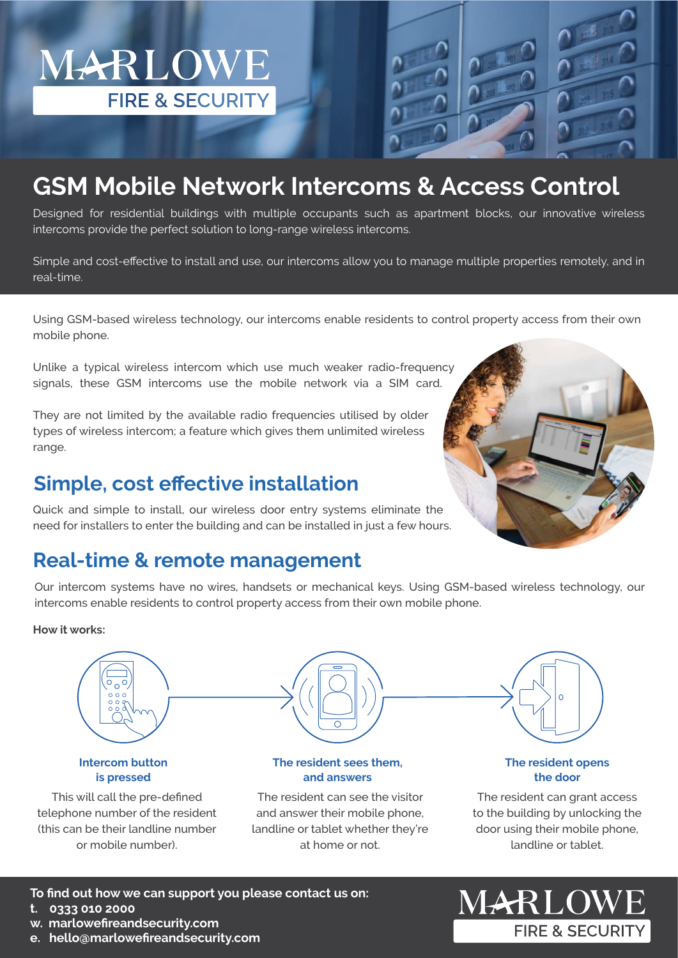# **GSM Mobile Network Intercoms & Access Control**

Designed for residential buildings with multiple occupants such as apartment blocks, our innovative wireless intercoms provide the perfect solution to long-range wireless intercoms.

Simple and cost-effective to install and use, our intercoms allow you to manage multiple properties remotely, and in real-time.

Using GSM-based wireless technology, our intercoms enable residents to control property access from their own mobile phone.

Unlike a typical wireless intercom which use much weaker radio-frequency signals, these GSM intercoms use the mobile network via a SIM card.

They are not limited by the available radio frequencies utilised by older types of wireless intercom; a feature which gives them unlimited wireless range.

### **Simple, cost effective installation**

MARLOWE

**FIRE & SECURITY** 

Quick and simple to install, our wireless door entry systems eliminate the need for installers to enter the building and can be installed in just a few hours.

### **Real-time & remote management**

Our intercom systems have no wires, handsets or mechanical keys. Using GSM-based wireless technology, our intercoms enable residents to control property access from their own mobile phone.

#### **How it works:**



at home or not.



**To find out how we can support you please contact us on: t. 0333 010 2000** 

**w. marlowefireandsecurity.com**

**e. hello@marlowefireandsecurity.com**

The resident can grant access to the building by unlocking the door using their mobile phone, landline or tablet.